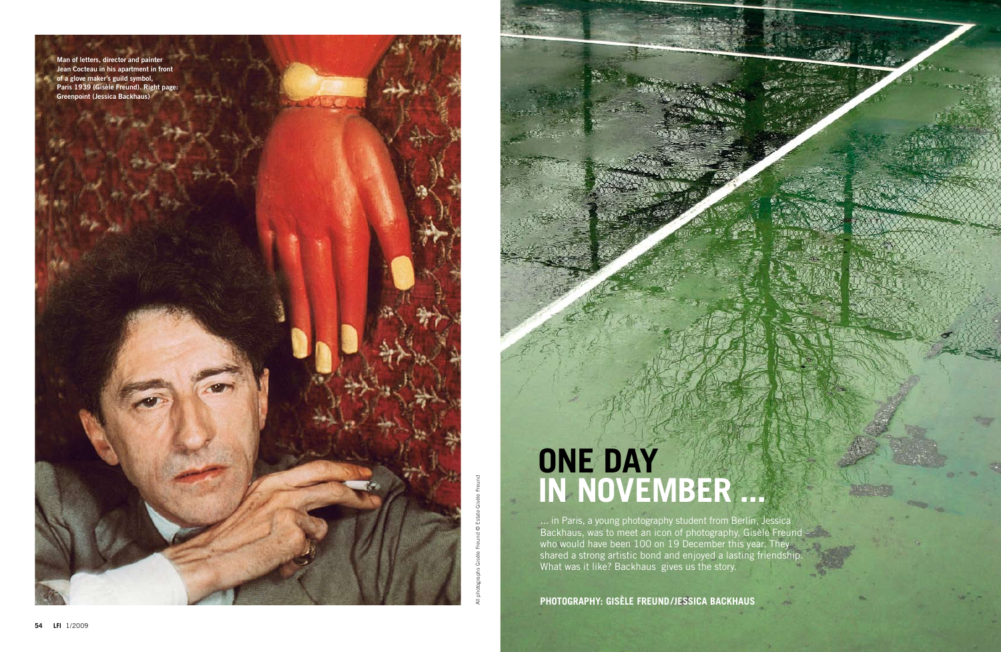## **One Day in November ...**

**PHotography: gisèle freund/jessica backhaus**

... in Paris, a young photography student from Berlin, Jessica Backhaus, was to meet an icon of photography, Gisèle Freund – who would have been 100 on 19 December this year. They shared a strong artistic bond and enjoyed a lasting friendship. What was it like? Backhaus gives us the story.



All photographs Gisèle Freund © Estate Gisèle Freund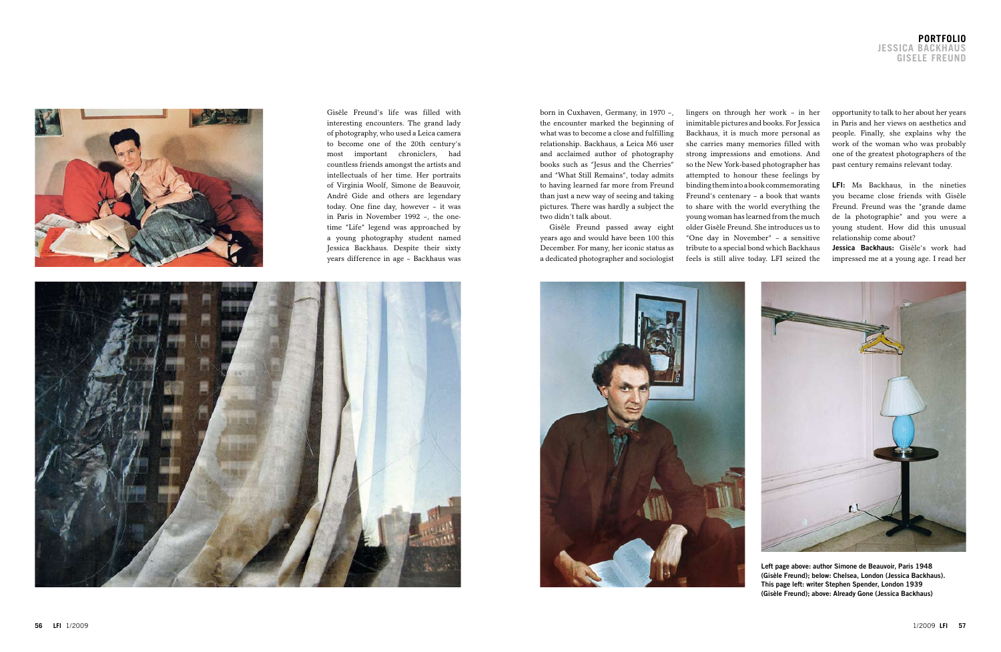opportunity to talk to her about her years in Paris and her views on aesthetics and people. Finally, she explains why the work of the woman who was probably one of the greatest photographers of the past century remains relevant today.

**LFI:** Ms Backhaus, in the nineties you became close friends with Gisèle Freund. Freund was the "grande dame de la photographie" and you were a young student. How did this unusual relationship come about?

**Jessica Backhaus:** Gisèle's work had impressed me at a young age. I read her



Gisèle Freund's life was filled with interesting encounters. The grand lady of photography, who used a Leica camera to become one of the 20th century's most important chroniclers, had countless friends amongst the artists and intellectuals of her time. Her portraits of Virginia Woolf, Simone de Beauvoir, André Gide and others are legendary today. One fine day, however – it was in Paris in November 1992 –, the onetime "Life" legend was approached by a young photography student named Jessica Backhaus. Despite their sixty years difference in age – Backhaus was



lingers on through her work – in her inimitable pictures and books. For Jessica Backhaus, it is much more personal as she carries many memories filled with strong impressions and emotions. And so the New York-based photographer has attempted to honour these feelings by binding them into a book commemorating Freund's centenary – a book that wants to share with the world everything the young woman has learned from the much older Gisèle Freund. She introduces us to "One day in November" – a sensitive tribute to a special bond which Backhaus feels is still alive today. LFI seized the



born in Cuxhaven, Germany, in 1970 –, the encounter marked the beginning of what was to become a close and fulfilling relationship. Backhaus, a Leica M6 user and acclaimed author of photography books such as "Jesus and the Cherries" and "What Still Remains", today admits to having learned far more from Freund than just a new way of seeing and taking pictures. There was hardly a subject the two didn't talk about.

Gisèle Freund passed away eight years ago and would have been 100 this December. For many, her iconic status as a dedicated photographer and sociologist



**Left page above: author Simone de Beauvoir, Paris 1948 (Gisèle Freund); below: Chelsea, London (Jessica Backhaus). This page left: writer Stephen Spender, London 1939 (Gisèle Freund); above: Already Gone (Jessica Backhaus)**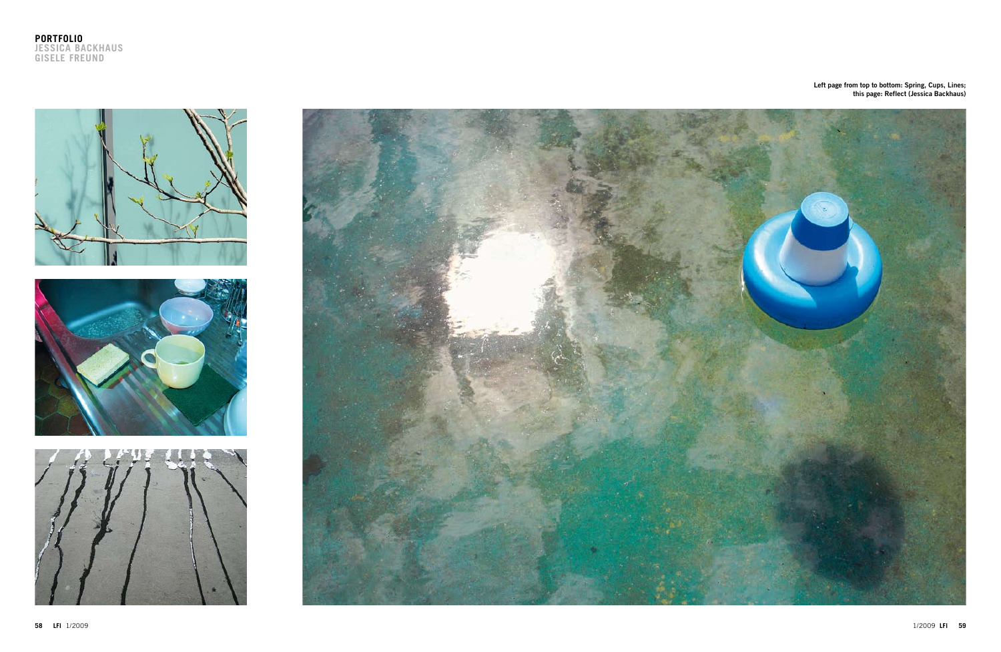







**Left page from top to bottom: Spring, Cups, Lines; this page: Reflect (Jessica Backhaus)**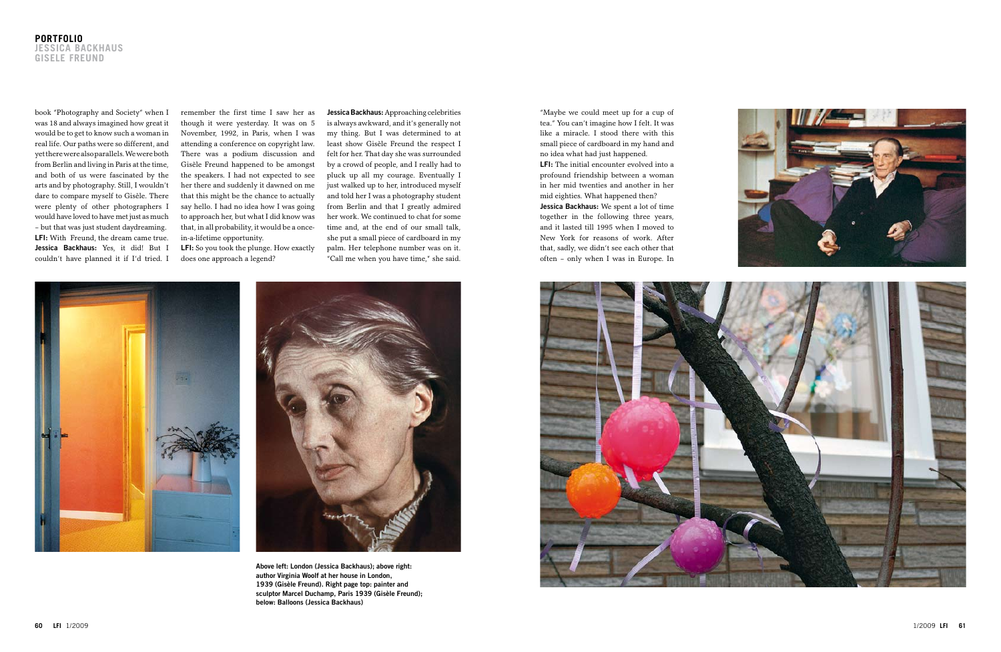

**Jessica Backhaus:** Approaching celebrities is always awkward, and it's generally not my thing. But I was determined to at least show Gisèle Freund the respect I felt for her. That day she was surrounded by a crowd of people, and I really had to pluck up all my courage. Eventually I just walked up to her, introduced myself and told her I was a photography student from Berlin and that I greatly admired her work. We continued to chat for some time and, at the end of our small talk, she put a small piece of cardboard in my palm. Her telephone number was on it. "Call me when you have time," she said.



book "Photography and Society" when I was 18 and always imagined how great it would be to get to know such a woman in real life. Our paths were so different, and yet there were also parallels. We were both from Berlin and living in Paris at the time, and both of us were fascinated by the arts and by photography. Still, I wouldn't dare to compare myself to Gisèle. There were plenty of other photographers I would have loved to have met just as much – but that was just student daydreaming. **LFI:** With Freund, the dream came true. **Jessica Backhaus:** Yes, it did! But I couldn't have planned it if I'd tried. I

remember the first time I saw her as though it were yesterday. It was on 5 November, 1992, in Paris, when I was attending a conference on copyright law. There was a podium discussion and Gisèle Freund happened to be amongst the speakers. I had not expected to see her there and suddenly it dawned on me that this might be the chance to actually say hello. I had no idea how I was going to approach her, but what I did know was that, in all probability, it would be a oncein-a-lifetime opportunity.

**LFI:** So you took the plunge. How exactly does one approach a legend?



**Above left: London (Jessica Backhaus); above right: author Virginia Woolf at her house in London, 1939 (Gisèle Freund). Right page top: painter and sculptor Marcel Duchamp, Paris 1939 (Gisèle Freund); below: Balloons (Jessica Backhaus)**

"Maybe we could meet up for a cup of tea." You can't imagine how I felt. It was like a miracle. I stood there with this small piece of cardboard in my hand and no idea what had just happened. **LFI:** The initial encounter evolved into a profound friendship between a woman in her mid twenties and another in her mid eighties. What happened then? **Jessica Backhaus:** We spent a lot of time together in the following three years, and it lasted till 1995 when I moved to New York for reasons of work. After that, sadly, we didn't see each other that often – only when I was in Europe. In